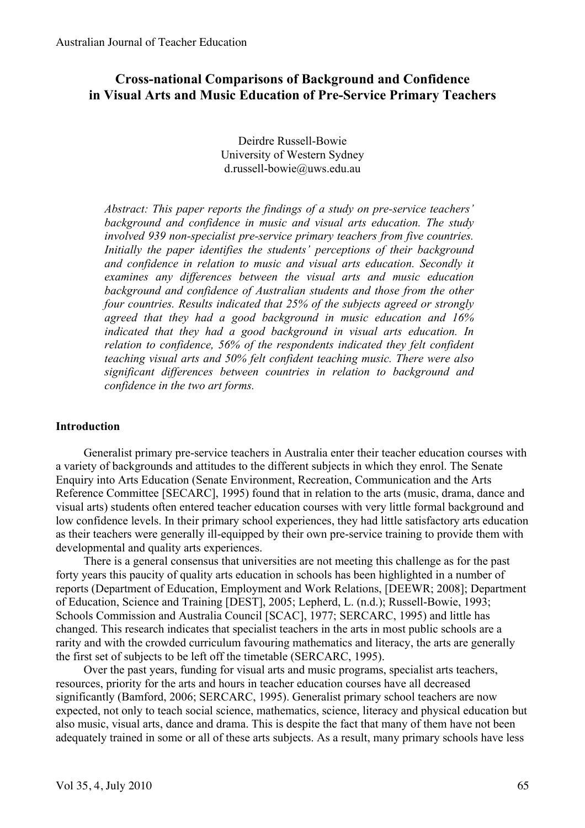# **Cross-national Comparisons of Background and Confidence in Visual Arts and Music Education of Pre-Service Primary Teachers**

Deirdre Russell-Bowie University of Western Sydney d.russell-bowie@uws.edu.au

*Abstract: This paper reports the findings of a study on pre-service teachers' background and confidence in music and visual arts education. The study involved 939 non-specialist pre-service primary teachers from five countries. Initially the paper identifies the students' perceptions of their background and confidence in relation to music and visual arts education. Secondly it examines any differences between the visual arts and music education background and confidence of Australian students and those from the other four countries. Results indicated that 25% of the subjects agreed or strongly agreed that they had a good background in music education and 16% indicated that they had a good background in visual arts education. In relation to confidence, 56% of the respondents indicated they felt confident teaching visual arts and 50% felt confident teaching music. There were also significant differences between countries in relation to background and confidence in the two art forms.*

# **Introduction**

Generalist primary pre-service teachers in Australia enter their teacher education courses with a variety of backgrounds and attitudes to the different subjects in which they enrol. The Senate Enquiry into Arts Education (Senate Environment, Recreation, Communication and the Arts Reference Committee [SECARC], 1995) found that in relation to the arts (music, drama, dance and visual arts) students often entered teacher education courses with very little formal background and low confidence levels. In their primary school experiences, they had little satisfactory arts education as their teachers were generally ill-equipped by their own pre-service training to provide them with developmental and quality arts experiences.

There is a general consensus that universities are not meeting this challenge as for the past forty years this paucity of quality arts education in schools has been highlighted in a number of reports (Department of Education, Employment and Work Relations, [DEEWR; 2008]; Department of Education, Science and Training [DEST], 2005; Lepherd, L. (n.d.); Russell-Bowie, 1993; Schools Commission and Australia Council [SCAC], 1977; SERCARC, 1995) and little has changed. This research indicates that specialist teachers in the arts in most public schools are a rarity and with the crowded curriculum favouring mathematics and literacy, the arts are generally the first set of subjects to be left off the timetable (SERCARC, 1995).

Over the past years, funding for visual arts and music programs, specialist arts teachers, resources, priority for the arts and hours in teacher education courses have all decreased significantly (Bamford, 2006; SERCARC, 1995). Generalist primary school teachers are now expected, not only to teach social science, mathematics, science, literacy and physical education but also music, visual arts, dance and drama. This is despite the fact that many of them have not been adequately trained in some or all of these arts subjects. As a result, many primary schools have less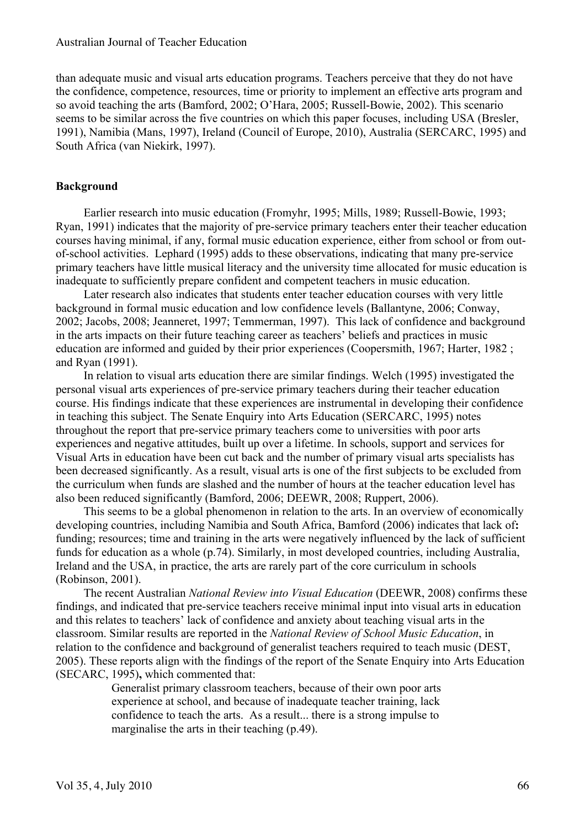than adequate music and visual arts education programs. Teachers perceive that they do not have the confidence, competence, resources, time or priority to implement an effective arts program and so avoid teaching the arts (Bamford, 2002; O'Hara, 2005; Russell-Bowie, 2002). This scenario seems to be similar across the five countries on which this paper focuses, including USA (Bresler, 1991), Namibia (Mans, 1997), Ireland (Council of Europe, 2010), Australia (SERCARC, 1995) and South Africa (van Niekirk, 1997).

# **Background**

Earlier research into music education (Fromyhr, 1995; Mills, 1989; Russell-Bowie, 1993; Ryan, 1991) indicates that the majority of pre-service primary teachers enter their teacher education courses having minimal, if any, formal music education experience, either from school or from outof-school activities. Lephard (1995) adds to these observations, indicating that many pre-service primary teachers have little musical literacy and the university time allocated for music education is inadequate to sufficiently prepare confident and competent teachers in music education.

Later research also indicates that students enter teacher education courses with very little background in formal music education and low confidence levels (Ballantyne, 2006; Conway, 2002; Jacobs, 2008; Jeanneret, 1997; Temmerman, 1997). This lack of confidence and background in the arts impacts on their future teaching career as teachers' beliefs and practices in music education are informed and guided by their prior experiences (Coopersmith, 1967; Harter, 1982 ; and Ryan (1991).

In relation to visual arts education there are similar findings. Welch (1995) investigated the personal visual arts experiences of pre-service primary teachers during their teacher education course. His findings indicate that these experiences are instrumental in developing their confidence in teaching this subject. The Senate Enquiry into Arts Education (SERCARC, 1995) notes throughout the report that pre-service primary teachers come to universities with poor arts experiences and negative attitudes, built up over a lifetime. In schools, support and services for Visual Arts in education have been cut back and the number of primary visual arts specialists has been decreased significantly. As a result, visual arts is one of the first subjects to be excluded from the curriculum when funds are slashed and the number of hours at the teacher education level has also been reduced significantly (Bamford, 2006; DEEWR, 2008; Ruppert, 2006).

This seems to be a global phenomenon in relation to the arts. In an overview of economically developing countries, including Namibia and South Africa, Bamford (2006) indicates that lack of**:** funding; resources; time and training in the arts were negatively influenced by the lack of sufficient funds for education as a whole (p.74). Similarly, in most developed countries, including Australia, Ireland and the USA, in practice, the arts are rarely part of the core curriculum in schools (Robinson, 2001).

The recent Australian *National Review into Visual Education* (DEEWR, 2008) confirms these findings, and indicated that pre-service teachers receive minimal input into visual arts in education and this relates to teachers' lack of confidence and anxiety about teaching visual arts in the classroom. Similar results are reported in the *National Review of School Music Education*, in relation to the confidence and background of generalist teachers required to teach music (DEST, 2005). These reports align with the findings of the report of the Senate Enquiry into Arts Education (SECARC, 1995)**,** which commented that:

Generalist primary classroom teachers, because of their own poor arts experience at school, and because of inadequate teacher training, lack confidence to teach the arts. As a result... there is a strong impulse to marginalise the arts in their teaching (p.49).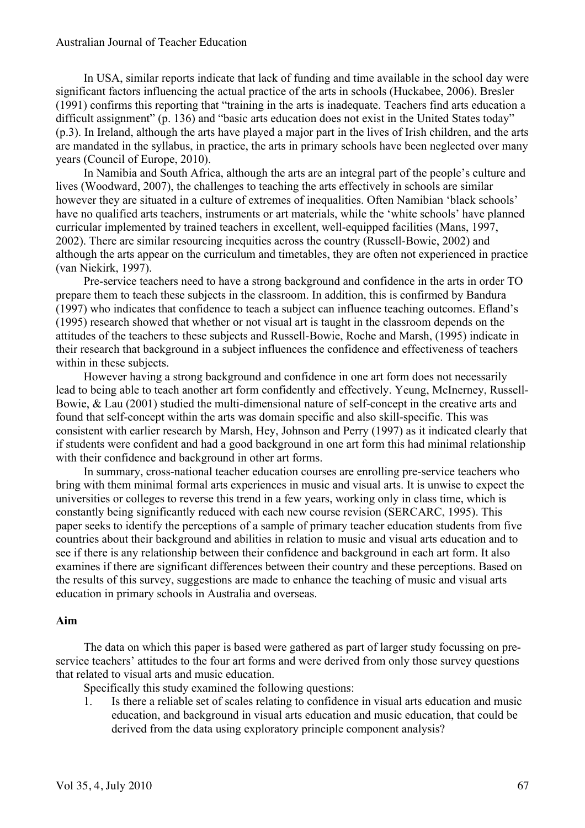#### Australian Journal of Teacher Education

In USA, similar reports indicate that lack of funding and time available in the school day were significant factors influencing the actual practice of the arts in schools (Huckabee, 2006). Bresler (1991) confirms this reporting that "training in the arts is inadequate. Teachers find arts education a difficult assignment" (p. 136) and "basic arts education does not exist in the United States today" (p.3). In Ireland, although the arts have played a major part in the lives of Irish children, and the arts are mandated in the syllabus, in practice, the arts in primary schools have been neglected over many years (Council of Europe, 2010).

In Namibia and South Africa, although the arts are an integral part of the people's culture and lives (Woodward, 2007), the challenges to teaching the arts effectively in schools are similar however they are situated in a culture of extremes of inequalities. Often Namibian 'black schools' have no qualified arts teachers, instruments or art materials, while the 'white schools' have planned curricular implemented by trained teachers in excellent, well-equipped facilities (Mans, 1997, 2002). There are similar resourcing inequities across the country (Russell-Bowie, 2002) and although the arts appear on the curriculum and timetables, they are often not experienced in practice (van Niekirk, 1997).

Pre-service teachers need to have a strong background and confidence in the arts in order TO prepare them to teach these subjects in the classroom. In addition, this is confirmed by Bandura (1997) who indicates that confidence to teach a subject can influence teaching outcomes. Efland's (1995) research showed that whether or not visual art is taught in the classroom depends on the attitudes of the teachers to these subjects and Russell-Bowie, Roche and Marsh, (1995) indicate in their research that background in a subject influences the confidence and effectiveness of teachers within in these subjects.

However having a strong background and confidence in one art form does not necessarily lead to being able to teach another art form confidently and effectively. Yeung, McInerney, Russell-Bowie, & Lau (2001) studied the multi-dimensional nature of self-concept in the creative arts and found that self-concept within the arts was domain specific and also skill-specific. This was consistent with earlier research by Marsh, Hey, Johnson and Perry (1997) as it indicated clearly that if students were confident and had a good background in one art form this had minimal relationship with their confidence and background in other art forms.

In summary, cross-national teacher education courses are enrolling pre-service teachers who bring with them minimal formal arts experiences in music and visual arts. It is unwise to expect the universities or colleges to reverse this trend in a few years, working only in class time, which is constantly being significantly reduced with each new course revision (SERCARC, 1995). This paper seeks to identify the perceptions of a sample of primary teacher education students from five countries about their background and abilities in relation to music and visual arts education and to see if there is any relationship between their confidence and background in each art form. It also examines if there are significant differences between their country and these perceptions. Based on the results of this survey, suggestions are made to enhance the teaching of music and visual arts education in primary schools in Australia and overseas.

### **Aim**

The data on which this paper is based were gathered as part of larger study focussing on preservice teachers' attitudes to the four art forms and were derived from only those survey questions that related to visual arts and music education.

Specifically this study examined the following questions:

1. Is there a reliable set of scales relating to confidence in visual arts education and music education, and background in visual arts education and music education, that could be derived from the data using exploratory principle component analysis?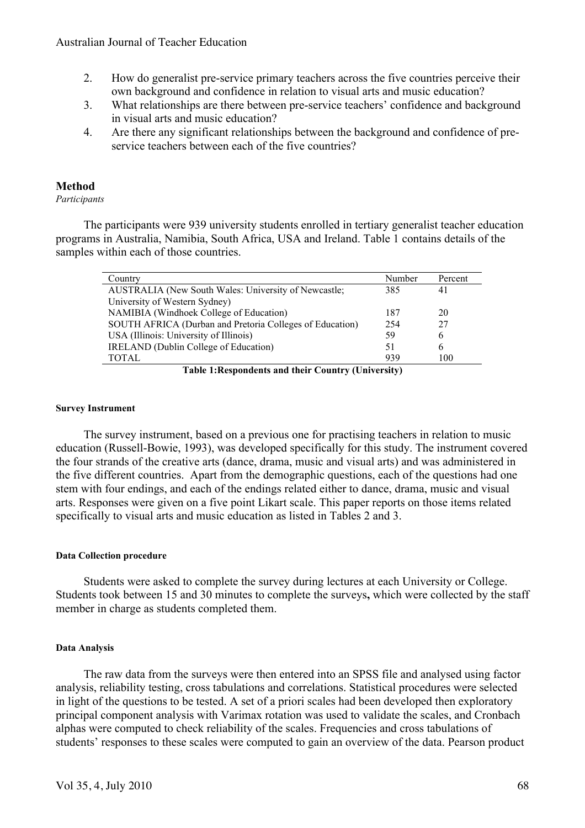- 2. How do generalist pre-service primary teachers across the five countries perceive their own background and confidence in relation to visual arts and music education?
- 3. What relationships are there between pre-service teachers' confidence and background in visual arts and music education?
- 4. Are there any significant relationships between the background and confidence of preservice teachers between each of the five countries?

# **Method**

*Participants*

The participants were 939 university students enrolled in tertiary generalist teacher education programs in Australia, Namibia, South Africa, USA and Ireland. Table 1 contains details of the samples within each of those countries.

| Country                                                     | Number | Percent |
|-------------------------------------------------------------|--------|---------|
| <b>AUSTRALIA</b> (New South Wales: University of Newcastle; | 385    | 41      |
| University of Western Sydney)                               |        |         |
| NAMIBIA (Windhoek College of Education)                     | 187    | 20      |
| SOUTH AFRICA (Durban and Pretoria Colleges of Education)    | 254    | 27      |
| USA (Illinois: University of Illinois)                      | 59     | 6       |
| <b>IRELAND</b> (Dublin College of Education)                | 51     | 6       |
| <b>TOTAL</b>                                                | 939    | 100     |

**Table 1:Respondents and their Country (University)**

### **Survey Instrument**

The survey instrument, based on a previous one for practising teachers in relation to music education (Russell-Bowie, 1993), was developed specifically for this study. The instrument covered the four strands of the creative arts (dance, drama, music and visual arts) and was administered in the five different countries. Apart from the demographic questions, each of the questions had one stem with four endings, and each of the endings related either to dance, drama, music and visual arts. Responses were given on a five point Likart scale. This paper reports on those items related specifically to visual arts and music education as listed in Tables 2 and 3.

### **Data Collection procedure**

Students were asked to complete the survey during lectures at each University or College. Students took between 15 and 30 minutes to complete the surveys**,** which were collected by the staff member in charge as students completed them.

### **Data Analysis**

The raw data from the surveys were then entered into an SPSS file and analysed using factor analysis, reliability testing, cross tabulations and correlations. Statistical procedures were selected in light of the questions to be tested. A set of a priori scales had been developed then exploratory principal component analysis with Varimax rotation was used to validate the scales, and Cronbach alphas were computed to check reliability of the scales. Frequencies and cross tabulations of students' responses to these scales were computed to gain an overview of the data. Pearson product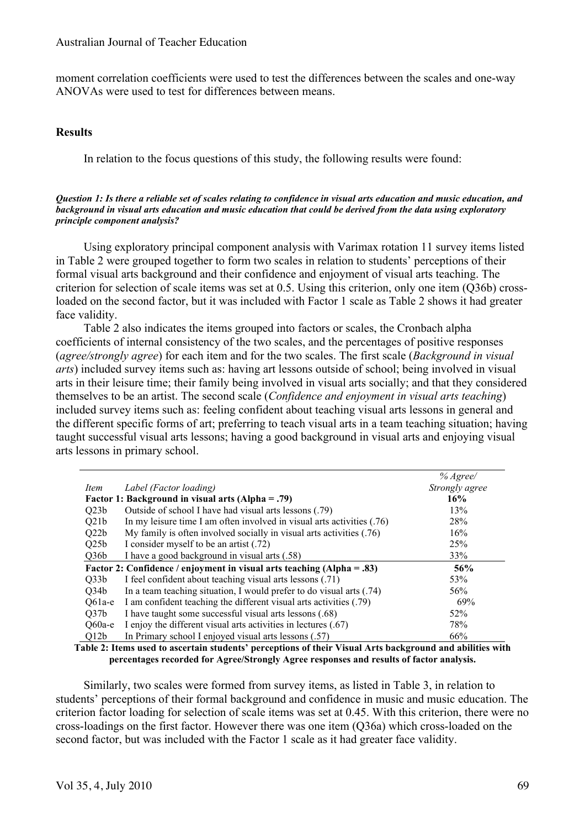moment correlation coefficients were used to test the differences between the scales and one-way ANOVAs were used to test for differences between means.

### **Results**

In relation to the focus questions of this study, the following results were found:

#### *Question 1: Is there a reliable set of scales relating to confidence in visual arts education and music education, and background in visual arts education and music education that could be derived from the data using exploratory principle component analysis?*

Using exploratory principal component analysis with Varimax rotation 11 survey items listed in Table 2 were grouped together to form two scales in relation to students' perceptions of their formal visual arts background and their confidence and enjoyment of visual arts teaching. The criterion for selection of scale items was set at 0.5. Using this criterion, only one item (Q36b) crossloaded on the second factor, but it was included with Factor 1 scale as Table 2 shows it had greater face validity.

Table 2 also indicates the items grouped into factors or scales, the Cronbach alpha coefficients of internal consistency of the two scales, and the percentages of positive responses (*agree/strongly agree*) for each item and for the two scales. The first scale (*Background in visual arts*) included survey items such as: having art lessons outside of school; being involved in visual arts in their leisure time; their family being involved in visual arts socially; and that they considered themselves to be an artist. The second scale (*Confidence and enjoyment in visual arts teaching*) included survey items such as: feeling confident about teaching visual arts lessons in general and the different specific forms of art; preferring to teach visual arts in a team teaching situation; having taught successful visual arts lessons; having a good background in visual arts and enjoying visual arts lessons in primary school.

|                                                                          |                                                                         | $%$ Agree/     |  |
|--------------------------------------------------------------------------|-------------------------------------------------------------------------|----------------|--|
| Item                                                                     | Label (Factor loading)                                                  | Strongly agree |  |
|                                                                          | Factor 1: Background in visual arts $(Alpha = .79)$                     | 16%            |  |
| Q23b                                                                     | Outside of school I have had visual arts lessons (.79)                  | 13%            |  |
| Q21b                                                                     | In my leisure time I am often involved in visual arts activities (.76)  | 28%            |  |
| Q22b                                                                     | My family is often involved socially in visual arts activities $(0.76)$ | 16%            |  |
| O25 <sub>b</sub>                                                         | I consider myself to be an artist (.72)                                 | 25%            |  |
| Q36b                                                                     | I have a good background in visual arts (.58)                           | 33%            |  |
| Factor 2: Confidence / enjoyment in visual arts teaching $(Alpha = .83)$ |                                                                         |                |  |
| Q33b                                                                     | I feel confident about teaching visual arts lessons (.71)               | 53%            |  |
| Q34b                                                                     | In a team teaching situation, I would prefer to do visual arts (.74)    | 56%            |  |
| $Q61a-e$                                                                 | I am confident teaching the different visual arts activities (.79)      | 69%            |  |
| Q37b                                                                     | I have taught some successful visual arts lessons (.68)                 | 52%            |  |
| $Q60a-e$                                                                 | I enjoy the different visual arts activities in lectures (.67)          | 78%            |  |
| Q12b                                                                     | In Primary school I enjoyed visual arts lessons (.57)                   | 66%            |  |

**Table 2: Items used to ascertain students' perceptions of their Visual Arts background and abilities with percentages recorded for Agree/Strongly Agree responses and results of factor analysis.**

Similarly, two scales were formed from survey items, as listed in Table 3, in relation to students' perceptions of their formal background and confidence in music and music education. The criterion factor loading for selection of scale items was set at 0.45. With this criterion, there were no cross-loadings on the first factor. However there was one item (Q36a) which cross-loaded on the second factor, but was included with the Factor 1 scale as it had greater face validity.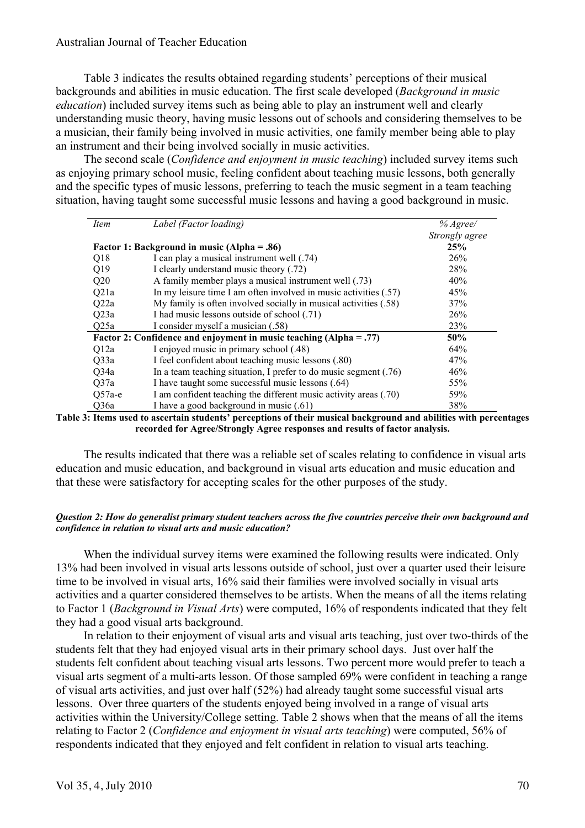### Australian Journal of Teacher Education

Table 3 indicates the results obtained regarding students' perceptions of their musical backgrounds and abilities in music education. The first scale developed (*Background in music education*) included survey items such as being able to play an instrument well and clearly understanding music theory, having music lessons out of schools and considering themselves to be a musician, their family being involved in music activities, one family member being able to play an instrument and their being involved socially in music activities.

The second scale (*Confidence and enjoyment in music teaching*) included survey items such as enjoying primary school music, feeling confident about teaching music lessons, both generally and the specific types of music lessons, preferring to teach the music segment in a team teaching situation, having taught some successful music lessons and having a good background in music.

| Item     | Label (Factor loading)                                               | % Agree/       |
|----------|----------------------------------------------------------------------|----------------|
|          |                                                                      | Strongly agree |
|          | Factor 1: Background in music (Alpha = .86)                          | 25%            |
| Q18      | I can play a musical instrument well (.74)                           | 26%            |
| Q19      | I clearly understand music theory (.72)                              | 28%            |
| Q20      | A family member plays a musical instrument well (.73)                | 40%            |
| Q21a     | In my leisure time I am often involved in music activities $(.57)$   | 45%            |
| Q22a     | My family is often involved socially in musical activities (.58)     | 37%            |
| Q23a     | I had music lessons outside of school (.71)                          | 26%            |
| Q25a     | I consider myself a musician (.58)                                   | 23%            |
|          | Factor 2: Confidence and enjoyment in music teaching $(Alpha = .77)$ | 50%            |
| Q12a     | I enjoyed music in primary school (.48)                              | 64%            |
| Q33a     | I feel confident about teaching music lessons (.80)                  | 47%            |
| Q34a     | In a team teaching situation, I prefer to do music segment $(.76)$   | 46%            |
| Q37a     | I have taught some successful music lessons (.64)                    | 55%            |
| $Q57a-e$ | I am confident teaching the different music activity areas (.70)     | 59%            |
| Q36a     | I have a good background in music (.61)                              | 38%            |

#### **Table 3: Items used to ascertain students' perceptions of their musical background and abilities with percentages recorded for Agree/Strongly Agree responses and results of factor analysis.**

The results indicated that there was a reliable set of scales relating to confidence in visual arts education and music education, and background in visual arts education and music education and that these were satisfactory for accepting scales for the other purposes of the study.

#### *Question 2: How do generalist primary student teachers across the five countries perceive their own background and confidence in relation to visual arts and music education?*

When the individual survey items were examined the following results were indicated. Only 13% had been involved in visual arts lessons outside of school, just over a quarter used their leisure time to be involved in visual arts, 16% said their families were involved socially in visual arts activities and a quarter considered themselves to be artists. When the means of all the items relating to Factor 1 (*Background in Visual Arts*) were computed, 16% of respondents indicated that they felt they had a good visual arts background.

In relation to their enjoyment of visual arts and visual arts teaching, just over two-thirds of the students felt that they had enjoyed visual arts in their primary school days. Just over half the students felt confident about teaching visual arts lessons. Two percent more would prefer to teach a visual arts segment of a multi-arts lesson. Of those sampled 69% were confident in teaching a range of visual arts activities, and just over half (52%) had already taught some successful visual arts lessons. Over three quarters of the students enjoyed being involved in a range of visual arts activities within the University/College setting. Table 2 shows when that the means of all the items relating to Factor 2 (*Confidence and enjoyment in visual arts teaching*) were computed, 56% of respondents indicated that they enjoyed and felt confident in relation to visual arts teaching.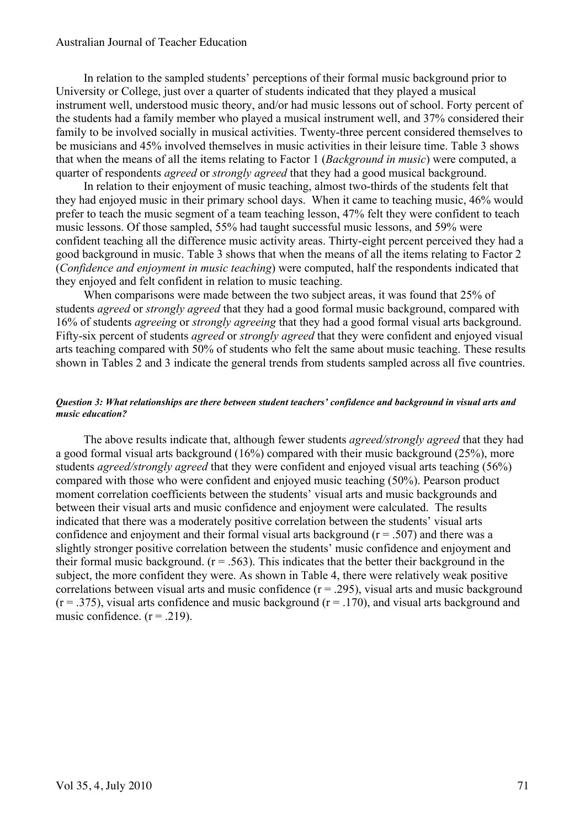#### Australian Journal of Teacher Education

In relation to the sampled students' perceptions of their formal music background prior to University or College, just over a quarter of students indicated that they played a musical instrument well, understood music theory, and/or had music lessons out of school. Forty percent of the students had a family member who played a musical instrument well, and 37% considered their family to be involved socially in musical activities. Twenty-three percent considered themselves to be musicians and 45% involved themselves in music activities in their leisure time. Table 3 shows that when the means of all the items relating to Factor 1 (*Background in music*) were computed, a quarter of respondents *agreed* or *strongly agreed* that they had a good musical background.

In relation to their enjoyment of music teaching, almost two-thirds of the students felt that they had enjoyed music in their primary school days. When it came to teaching music, 46% would prefer to teach the music segment of a team teaching lesson, 47% felt they were confident to teach music lessons. Of those sampled, 55% had taught successful music lessons, and 59% were confident teaching all the difference music activity areas. Thirty-eight percent perceived they had a good background in music. Table 3 shows that when the means of all the items relating to Factor 2 (*Confidence and enjoyment in music teaching*) were computed, half the respondents indicated that they enjoyed and felt confident in relation to music teaching.

When comparisons were made between the two subject areas, it was found that 25% of students *agreed* or *strongly agreed* that they had a good formal music background, compared with 16% of students *agreeing* or *strongly agreeing* that they had a good formal visual arts background. Fifty-six percent of students *agreed* or *strongly agreed* that they were confident and enjoyed visual arts teaching compared with 50% of students who felt the same about music teaching. These results shown in Tables 2 and 3 indicate the general trends from students sampled across all five countries.

#### *Question 3: What relationships are there between student teachers' confidence and background in visual arts and music education?*

The above results indicate that, although fewer students *agreed/strongly agreed* that they had a good formal visual arts background (16%) compared with their music background (25%), more students *agreed/strongly agreed* that they were confident and enjoyed visual arts teaching (56%) compared with those who were confident and enjoyed music teaching (50%). Pearson product moment correlation coefficients between the students' visual arts and music backgrounds and between their visual arts and music confidence and enjoyment were calculated. The results indicated that there was a moderately positive correlation between the students' visual arts confidence and enjoyment and their formal visual arts background ( $r = 0.507$ ) and there was a slightly stronger positive correlation between the students' music confidence and enjoyment and their formal music background.  $(r = .563)$ . This indicates that the better their background in the subject, the more confident they were. As shown in Table 4, there were relatively weak positive correlations between visual arts and music confidence  $(r = .295)$ , visual arts and music background  $(r = .375)$ , visual arts confidence and music background  $(r = .170)$ , and visual arts background and music confidence.  $(r = .219)$ .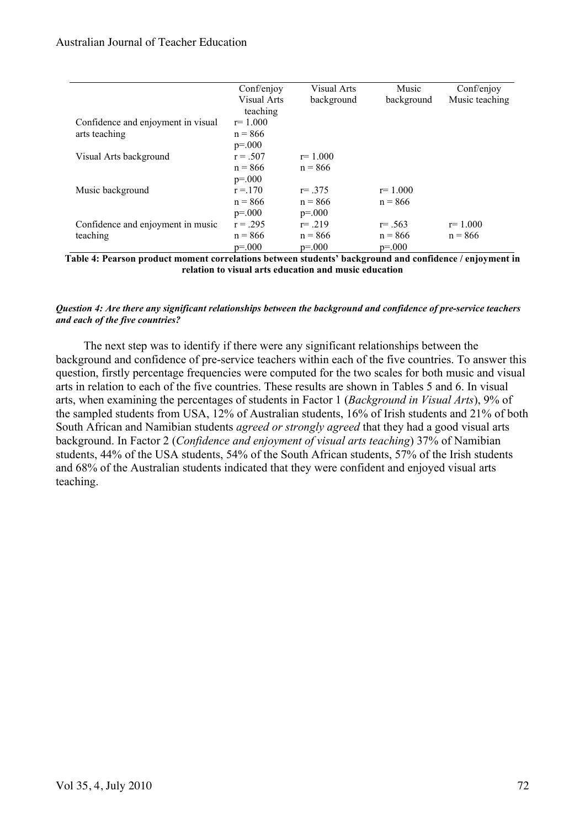|                                    | Conf/enjoy  | Visual Arts | Music       | Conf/enjoy     |
|------------------------------------|-------------|-------------|-------------|----------------|
|                                    | Visual Arts | background  | background  | Music teaching |
|                                    | teaching    |             |             |                |
| Confidence and enjoyment in visual | $r = 1.000$ |             |             |                |
| arts teaching                      | $n = 866$   |             |             |                |
|                                    | $p=.000$    |             |             |                |
| Visual Arts background             | $r = .507$  | $r=1.000$   |             |                |
|                                    | $n = 866$   | $n = 866$   |             |                |
|                                    | $p=.000$    |             |             |                |
| Music background                   | $r = 170$   | $r = .375$  | $r = 1.000$ |                |
|                                    | $n = 866$   | $n = 866$   | $n = 866$   |                |
|                                    | $p=.000$    | $p=.000$    |             |                |
| Confidence and enjoyment in music  | $r = .295$  | $r = .219$  | $r = .563$  | $r = 1.000$    |
| teaching                           | $n = 866$   | $n = 866$   | $n = 866$   | $n = 866$      |
|                                    | $p = 000$   | $p = 000$   | $p=.000$    |                |

**Table 4: Pearson product moment correlations between students' background and confidence / enjoyment in relation to visual arts education and music education**

#### *Question 4: Are there any significant relationships between the background and confidence of pre-service teachers and each of the five countries?*

The next step was to identify if there were any significant relationships between the background and confidence of pre-service teachers within each of the five countries. To answer this question, firstly percentage frequencies were computed for the two scales for both music and visual arts in relation to each of the five countries. These results are shown in Tables 5 and 6. In visual arts, when examining the percentages of students in Factor 1 (*Background in Visual Arts*), 9% of the sampled students from USA, 12% of Australian students, 16% of Irish students and 21% of both South African and Namibian students *agreed or strongly agreed* that they had a good visual arts background. In Factor 2 (*Confidence and enjoyment of visual arts teaching*) 37% of Namibian students, 44% of the USA students, 54% of the South African students, 57% of the Irish students and 68% of the Australian students indicated that they were confident and enjoyed visual arts teaching.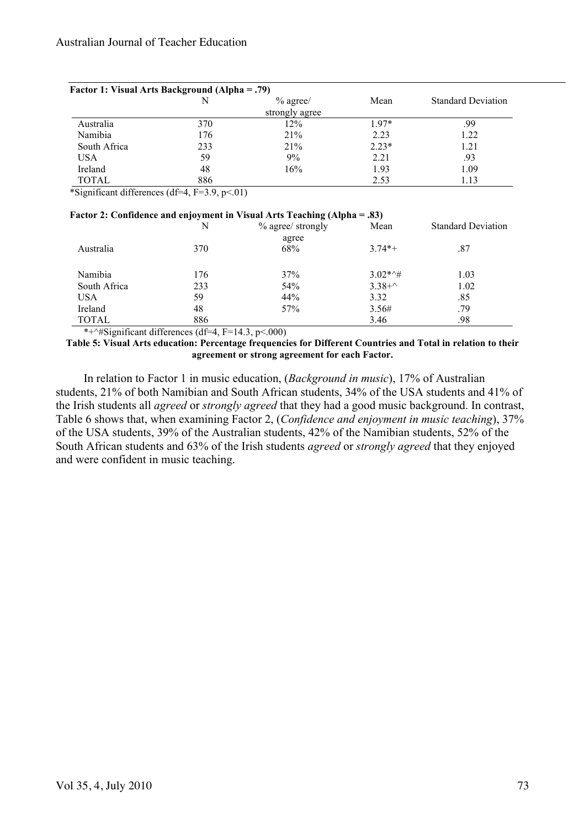| <b>Factor 1: Visual Arts Background (Alpha = .79)</b> |     |                |         |                           |  |
|-------------------------------------------------------|-----|----------------|---------|---------------------------|--|
|                                                       | N   | $%$ agree/     | Mean    | <b>Standard Deviation</b> |  |
|                                                       |     | strongly agree |         |                           |  |
| Australia                                             | 370 | 12%            | $197*$  | .99                       |  |
| Namibia                                               | 176 | 21%            | 2.23    | 1.22                      |  |
| South Africa                                          | 233 | 21%            | $2.23*$ | 1.21                      |  |
| USA                                                   | 59  | 9%             | 2.21    | .93                       |  |
| Ireland                                               | 48  | 16%            | 1.93    | 1.09                      |  |
| TOTAL                                                 | 886 |                | 2.53    | 1.13                      |  |

\*Significant differences (df=4,  $F=3.9$ ,  $p<.01$ )

#### **Factor 2: Confidence and enjoyment in Visual Arts Teaching (Alpha = .83)**

|              | . .<br>N | % agree/ strongly | Mean               | <b>Standard Deviation</b> |
|--------------|----------|-------------------|--------------------|---------------------------|
|              |          | agree             |                    |                           |
| Australia    | 370      | 68%               | $3.74*+$           | .87                       |
|              |          |                   |                    |                           |
| Namibia      | 176      | 37%               | $3.02**+$          | 1.03                      |
| South Africa | 233      | 54%               | $3.38 + ^{\wedge}$ | 1.02                      |
| <b>USA</b>   | 59       | 44%               | 3.32               | .85                       |
| Ireland      | 48       | 57%               | 3.56#              | .79                       |
| <b>TOTAL</b> | 886      |                   | 3.46               | .98                       |

\*+ $\frac{4}{5}$ significant differences (df=4, F=14.3, p<.000)

**Table 5: Visual Arts education: Percentage frequencies for Different Countries and Total in relation to their agreement or strong agreement for each Factor.**

In relation to Factor 1 in music education, (*Background in music*), 17% of Australian students, 21% of both Namibian and South African students, 34% of the USA students and 41% of the Irish students all *agreed* or *strongly agreed* that they had a good music background. In contrast, Table 6 shows that, when examining Factor 2, (*Confidence and enjoyment in music teaching*), 37% of the USA students, 39% of the Australian students, 42% of the Namibian students, 52% of the South African students and 63% of the Irish students *agreed* or *strongly agreed* that they enjoyed and were confident in music teaching.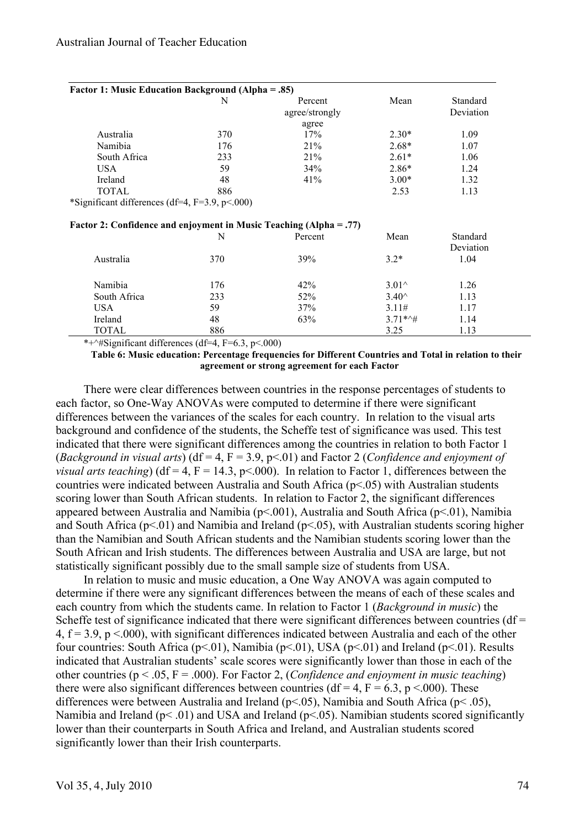| <b>Factor 1: Music Education Background (Alpha = .85)</b>          |     |                |                       |           |  |
|--------------------------------------------------------------------|-----|----------------|-----------------------|-----------|--|
|                                                                    | N   | Percent        | Mean                  | Standard  |  |
|                                                                    |     | agree/strongly |                       | Deviation |  |
|                                                                    |     | agree          |                       |           |  |
| Australia                                                          | 370 | 17%            | $2.30*$               | 1.09      |  |
| Namibia                                                            | 176 | 21%            | $2.68*$               | 1.07      |  |
| South Africa                                                       | 233 | 21%            | $2.61*$               | 1.06      |  |
| <b>USA</b>                                                         | 59  | 34%            | $2.86*$               | 1.24      |  |
| Ireland                                                            | 48  | 41%            | $3.00*$               | 1.32      |  |
| <b>TOTAL</b>                                                       | 886 |                | 2.53                  | 1.13      |  |
| *Significant differences (df=4, $F=3.9$ , $p<.000$ )               |     |                |                       |           |  |
| Factor 2: Confidence and enjoyment in Music Teaching (Alpha = .77) |     |                |                       |           |  |
|                                                                    | N   | Percent        | Mean                  | Standard  |  |
|                                                                    |     |                |                       | Deviation |  |
| Australia                                                          | 370 | 39%            | $3.2*$                | 1.04      |  |
| Namibia                                                            | 176 | 42%            | $3.01^{\circ}$        | 1.26      |  |
| South Africa                                                       | 233 | 52%            | $3.40^{\circ}$        | 1.13      |  |
| <b>USA</b>                                                         | 59  | 37%            | 3.11#                 | 1.17      |  |
| Ireland                                                            | 48  | 63%            | $3.71**$ <sup>+</sup> | 1.14      |  |
| <b>TOTAL</b>                                                       | 886 |                | 3.25                  | 1.13      |  |

\*+^#Significant differences (df=4,  $F=6.3$ ,  $p<0.00$ )

**Table 6: Music education: Percentage frequencies for Different Countries and Total in relation to their agreement or strong agreement for each Factor**

There were clear differences between countries in the response percentages of students to each factor, so One-Way ANOVAs were computed to determine if there were significant differences between the variances of the scales for each country. In relation to the visual arts background and confidence of the students, the Scheffe test of significance was used. This test indicated that there were significant differences among the countries in relation to both Factor 1 (*Background in visual arts*) (df = 4, F = 3.9, p<.01) and Factor 2 (*Confidence and enjoyment of visual arts teaching*) (df = 4, F = 14.3, p < 000). In relation to Factor 1, differences between the countries were indicated between Australia and South Africa (p<.05) with Australian students scoring lower than South African students. In relation to Factor 2, the significant differences appeared between Australia and Namibia ( $p<001$ ), Australia and South Africa ( $p<01$ ), Namibia and South Africa ( $p<01$ ) and Namibia and Ireland ( $p<05$ ), with Australian students scoring higher than the Namibian and South African students and the Namibian students scoring lower than the South African and Irish students. The differences between Australia and USA are large, but not statistically significant possibly due to the small sample size of students from USA.

In relation to music and music education, a One Way ANOVA was again computed to determine if there were any significant differences between the means of each of these scales and each country from which the students came. In relation to Factor 1 (*Background in music*) the Scheffe test of significance indicated that there were significant differences between countries ( $df =$ 4,  $f = 3.9$ ,  $p \le 0.000$ , with significant differences indicated between Australia and each of the other four countries: South Africa ( $p<01$ ), Namibia ( $p<01$ ), USA ( $p<01$ ) and Ireland ( $p<01$ ). Results indicated that Australian students' scale scores were significantly lower than those in each of the other countries (p < .05, F = .000). For Factor 2, (*Confidence and enjoyment in music teaching*) there were also significant differences between countries (df = 4,  $F = 6.3$ ,  $p \le 0.000$ ). These differences were between Australia and Ireland (p<.05), Namibia and South Africa (p< .05), Namibia and Ireland ( $p$ < .01) and USA and Ireland ( $p$ < .05). Namibian students scored significantly lower than their counterparts in South Africa and Ireland, and Australian students scored significantly lower than their Irish counterparts.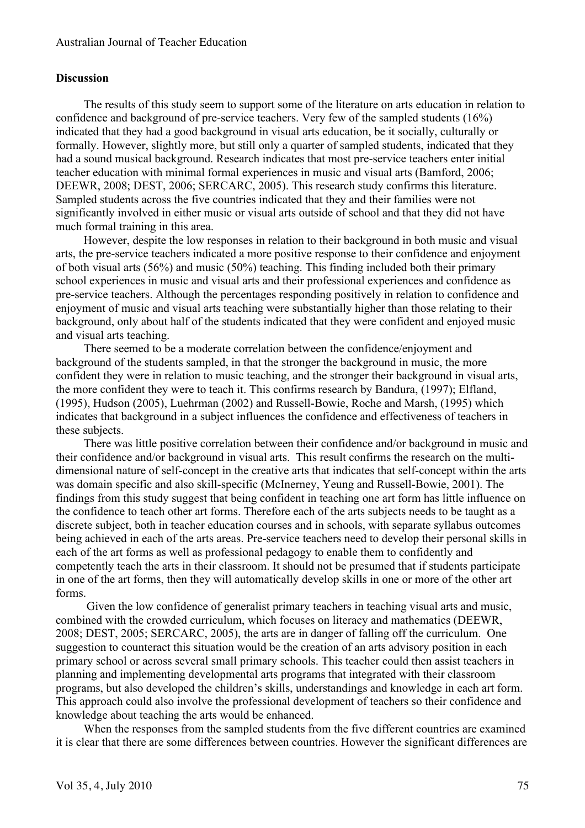### **Discussion**

The results of this study seem to support some of the literature on arts education in relation to confidence and background of pre-service teachers. Very few of the sampled students (16%) indicated that they had a good background in visual arts education, be it socially, culturally or formally. However, slightly more, but still only a quarter of sampled students, indicated that they had a sound musical background. Research indicates that most pre-service teachers enter initial teacher education with minimal formal experiences in music and visual arts (Bamford, 2006; DEEWR, 2008; DEST, 2006; SERCARC, 2005). This research study confirms this literature. Sampled students across the five countries indicated that they and their families were not significantly involved in either music or visual arts outside of school and that they did not have much formal training in this area.

However, despite the low responses in relation to their background in both music and visual arts, the pre-service teachers indicated a more positive response to their confidence and enjoyment of both visual arts (56%) and music (50%) teaching. This finding included both their primary school experiences in music and visual arts and their professional experiences and confidence as pre-service teachers. Although the percentages responding positively in relation to confidence and enjoyment of music and visual arts teaching were substantially higher than those relating to their background, only about half of the students indicated that they were confident and enjoyed music and visual arts teaching.

There seemed to be a moderate correlation between the confidence/enjoyment and background of the students sampled, in that the stronger the background in music, the more confident they were in relation to music teaching, and the stronger their background in visual arts, the more confident they were to teach it. This confirms research by Bandura, (1997); Elfland, (1995), Hudson (2005), Luehrman (2002) and Russell-Bowie, Roche and Marsh, (1995) which indicates that background in a subject influences the confidence and effectiveness of teachers in these subjects.

There was little positive correlation between their confidence and/or background in music and their confidence and/or background in visual arts. This result confirms the research on the multidimensional nature of self-concept in the creative arts that indicates that self-concept within the arts was domain specific and also skill-specific (McInerney, Yeung and Russell-Bowie, 2001). The findings from this study suggest that being confident in teaching one art form has little influence on the confidence to teach other art forms. Therefore each of the arts subjects needs to be taught as a discrete subject, both in teacher education courses and in schools, with separate syllabus outcomes being achieved in each of the arts areas. Pre-service teachers need to develop their personal skills in each of the art forms as well as professional pedagogy to enable them to confidently and competently teach the arts in their classroom. It should not be presumed that if students participate in one of the art forms, then they will automatically develop skills in one or more of the other art forms.

Given the low confidence of generalist primary teachers in teaching visual arts and music, combined with the crowded curriculum, which focuses on literacy and mathematics (DEEWR, 2008; DEST, 2005; SERCARC, 2005), the arts are in danger of falling off the curriculum. One suggestion to counteract this situation would be the creation of an arts advisory position in each primary school or across several small primary schools. This teacher could then assist teachers in planning and implementing developmental arts programs that integrated with their classroom programs, but also developed the children's skills, understandings and knowledge in each art form. This approach could also involve the professional development of teachers so their confidence and knowledge about teaching the arts would be enhanced.

When the responses from the sampled students from the five different countries are examined it is clear that there are some differences between countries. However the significant differences are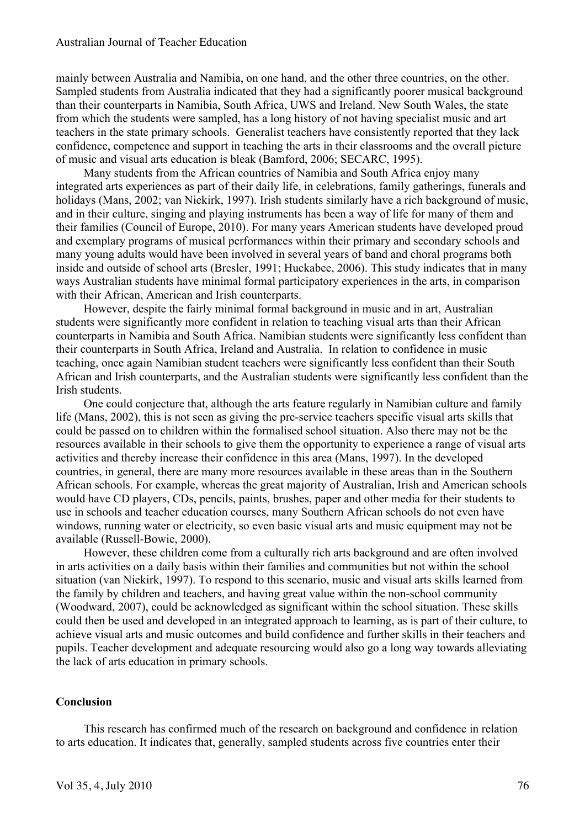mainly between Australia and Namibia, on one hand, and the other three countries, on the other. Sampled students from Australia indicated that they had a significantly poorer musical background than their counterparts in Namibia, South Africa, UWS and Ireland. New South Wales, the state from which the students were sampled, has a long history of not having specialist music and art teachers in the state primary schools. Generalist teachers have consistently reported that they lack confidence, competence and support in teaching the arts in their classrooms and the overall picture of music and visual arts education is bleak (Bamford, 2006; SECARC, 1995).

Many students from the African countries of Namibia and South Africa enjoy many integrated arts experiences as part of their daily life, in celebrations, family gatherings, funerals and holidays (Mans, 2002; van Niekirk, 1997). Irish students similarly have a rich background of music, and in their culture, singing and playing instruments has been a way of life for many of them and their families (Council of Europe, 2010). For many years American students have developed proud and exemplary programs of musical performances within their primary and secondary schools and many young adults would have been involved in several years of band and choral programs both inside and outside of school arts (Bresler, 1991; Huckabee, 2006). This study indicates that in many ways Australian students have minimal formal participatory experiences in the arts, in comparison with their African, American and Irish counterparts.

However, despite the fairly minimal formal background in music and in art, Australian students were significantly more confident in relation to teaching visual arts than their African counterparts in Namibia and South Africa. Namibian students were significantly less confident than their counterparts in South Africa, Ireland and Australia. In relation to confidence in music teaching, once again Namibian student teachers were significantly less confident than their South African and Irish counterparts, and the Australian students were significantly less confident than the Irish students.

One could conjecture that, although the arts feature regularly in Namibian culture and family life (Mans, 2002), this is not seen as giving the pre-service teachers specific visual arts skills that could be passed on to children within the formalised school situation. Also there may not be the resources available in their schools to give them the opportunity to experience a range of visual arts activities and thereby increase their confidence in this area (Mans, 1997). In the developed countries, in general, there are many more resources available in these areas than in the Southern African schools. For example, whereas the great majority of Australian, Irish and American schools would have CD players, CDs, pencils, paints, brushes, paper and other media for their students to use in schools and teacher education courses, many Southern African schools do not even have windows, running water or electricity, so even basic visual arts and music equipment may not be available (Russell-Bowie, 2000).

However, these children come from a culturally rich arts background and are often involved in arts activities on a daily basis within their families and communities but not within the school situation (van Niekirk, 1997). To respond to this scenario, music and visual arts skills learned from the family by children and teachers, and having great value within the non-school community (Woodward, 2007), could be acknowledged as significant within the school situation. These skills could then be used and developed in an integrated approach to learning, as is part of their culture, to achieve visual arts and music outcomes and build confidence and further skills in their teachers and pupils. Teacher development and adequate resourcing would also go a long way towards alleviating the lack of arts education in primary schools.

### **Conclusion**

This research has confirmed much of the research on background and confidence in relation to arts education. It indicates that, generally, sampled students across five countries enter their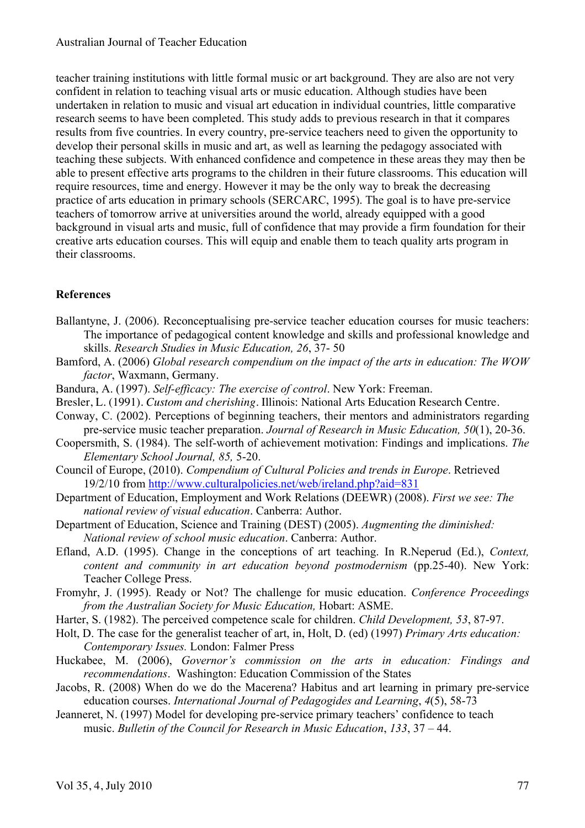teacher training institutions with little formal music or art background. They are also are not very confident in relation to teaching visual arts or music education. Although studies have been undertaken in relation to music and visual art education in individual countries, little comparative research seems to have been completed. This study adds to previous research in that it compares results from five countries. In every country, pre-service teachers need to given the opportunity to develop their personal skills in music and art, as well as learning the pedagogy associated with teaching these subjects. With enhanced confidence and competence in these areas they may then be able to present effective arts programs to the children in their future classrooms. This education will require resources, time and energy. However it may be the only way to break the decreasing practice of arts education in primary schools (SERCARC, 1995). The goal is to have pre-service teachers of tomorrow arrive at universities around the world, already equipped with a good background in visual arts and music, full of confidence that may provide a firm foundation for their creative arts education courses. This will equip and enable them to teach quality arts program in their classrooms.

# **References**

- Ballantyne, J. (2006). Reconceptualising pre-service teacher education courses for music teachers: The importance of pedagogical content knowledge and skills and professional knowledge and skills. *Research Studies in Music Education, 26*, 37- 50
- Bamford, A. (2006) *Global research compendium on the impact of the arts in education: The WOW factor*, Waxmann, Germany.
- Bandura, A. (1997). *Self-efficacy: The exercise of control*. New York: Freeman.
- Bresler, L. (1991). *Custom and cherishing*. Illinois: National Arts Education Research Centre.
- Conway, C. (2002). Perceptions of beginning teachers, their mentors and administrators regarding pre-service music teacher preparation. *Journal of Research in Music Education, 50*(1), 20-36.
- Coopersmith, S. (1984). The self-worth of achievement motivation: Findings and implications. *The Elementary School Journal, 85,* 5-20.
- Council of Europe, (2010). *Compendium of Cultural Policies and trends in Europe*. Retrieved 19/2/10 from http://www.culturalpolicies.net/web/ireland.php?aid=831
- Department of Education, Employment and Work Relations (DEEWR) (2008). *First we see: The national review of visual education*. Canberra: Author.
- Department of Education, Science and Training (DEST) (2005). *Augmenting the diminished: National review of school music education*. Canberra: Author.
- Efland, A.D. (1995). Change in the conceptions of art teaching. In R.Neperud (Ed.), *Context, content and community in art education beyond postmodernism* (pp.25-40). New York: Teacher College Press.
- Fromyhr, J. (1995). Ready or Not? The challenge for music education. *Conference Proceedings from the Australian Society for Music Education,* Hobart: ASME.
- Harter, S. (1982). The perceived competence scale for children. *Child Development, 53*, 87-97.
- Holt, D. The case for the generalist teacher of art, in, Holt, D. (ed) (1997) *Primary Arts education: Contemporary Issues.* London: Falmer Press
- Huckabee, M. (2006), *Governor's commission on the arts in education: Findings and recommendations*. Washington: Education Commission of the States
- Jacobs, R. (2008) When do we do the Macerena? Habitus and art learning in primary pre-service education courses. *International Journal of Pedagogides and Learning*, *4*(5), 58-73
- Jeanneret, N. (1997) Model for developing pre-service primary teachers' confidence to teach music. *Bulletin of the Council for Research in Music Education*, *133*, 37 – 44.